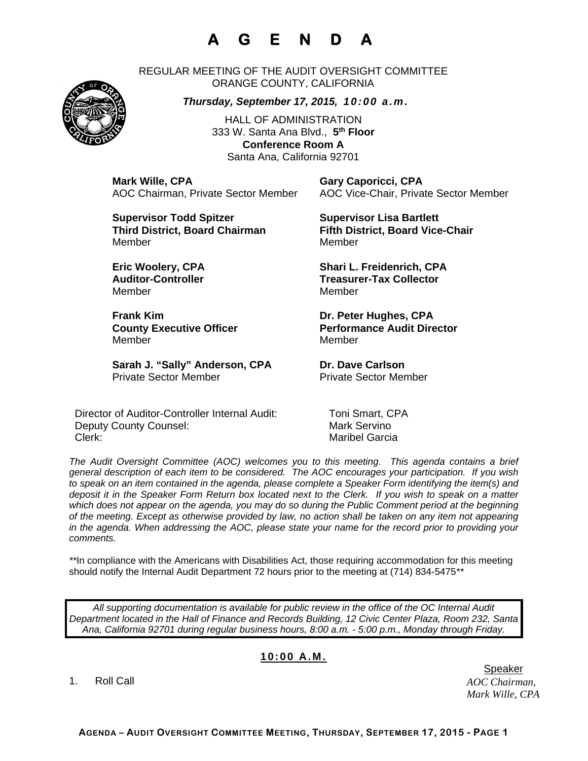## **A G E N D A**

REGULAR MEETING OF THE AUDIT OVERSIGHT COMMITTEE ORANGE COUNTY, CALIFORNIA

*Thursday, September 17, 2015, 10:00 a.m.*

HALL OF ADMINISTRATION 333 W. Santa Ana Blvd., **5th Floor Conference Room A**  Santa Ana, California 92701

**Mark Wille, CPA Gary Caporicci, CPA**

AOC Chairman, Private Sector Member AOC Vice-Chair, Private Sector Member

**Supervisor Todd Spitzer Supervisor Lisa Bartlett Third District, Board Chairman Fifth District, Board Vice-Chair**  MemberMember

Member Member

**Frank Kim Community Community Community Community Dr. Peter Hughes, CPA** Member Member

Sarah J. "Sally" Anderson, CPA Dr. Dave Carlson Private Sector Member Private Sector Member

Director of Auditor-Controller Internal Audit: Toni Smart, CPA Deputy County Counsel: Mark Servino Clerk: Maribel Garcia

**Eric Woolery, CPA Shari L. Freidenrich, CPA**  Auditor-Controller **Treasurer-Tax Collector** 

**County Executive Officer County Executive Officer Represent Performance Audit Director** 

*The Audit Oversight Committee (AOC) welcomes you to this meeting. This agenda contains a brief general description of each item to be considered. The AOC encourages your participation. If you wish to speak on an item contained in the agenda, please complete a Speaker Form identifying the item(s) and deposit it in the Speaker Form Return box located next to the Clerk. If you wish to speak on a matter which does not appear on the agenda, you may do so during the Public Comment period at the beginning of the meeting. Except as otherwise provided by law, no action shall be taken on any item not appearing in the agenda. When addressing the AOC, please state your name for the record prior to providing your comments.* 

*\*\**In compliance with the Americans with Disabilities Act, those requiring accommodation for this meeting should notify the Internal Audit Department 72 hours prior to the meeting at (714) 834-5475*\*\** 

*All supporting documentation is available for public review in the office of the OC Internal Audit Department located in the Hall of Finance and Records Building, 12 Civic Center Plaza, Room 232, Santa Ana, California 92701 during regular business hours, 8:00 a.m. - 5:00 p.m., Monday through Friday.* 

## **10:00 A.M.**

1. Roll Call

*AOC Chairman, Mark Wille, CPA*  er de beste genoemd in de beste genoemd in de beste genoemd in de beste genoemd in de beste genoemd in de bes